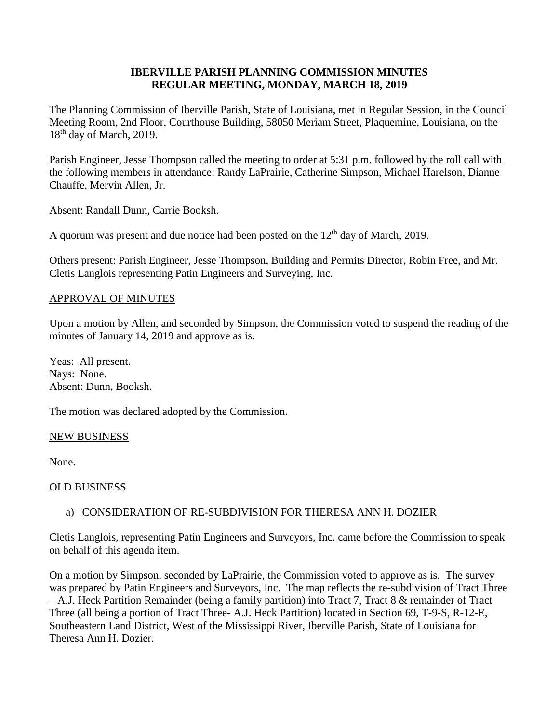## **IBERVILLE PARISH PLANNING COMMISSION MINUTES REGULAR MEETING, MONDAY, MARCH 18, 2019**

The Planning Commission of Iberville Parish, State of Louisiana, met in Regular Session, in the Council Meeting Room, 2nd Floor, Courthouse Building, 58050 Meriam Street, Plaquemine, Louisiana, on the 18<sup>th</sup> day of March, 2019.

Parish Engineer, Jesse Thompson called the meeting to order at 5:31 p.m. followed by the roll call with the following members in attendance: Randy LaPrairie, Catherine Simpson, Michael Harelson, Dianne Chauffe, Mervin Allen, Jr.

Absent: Randall Dunn, Carrie Booksh.

A quorum was present and due notice had been posted on the  $12<sup>th</sup>$  day of March, 2019.

Others present: Parish Engineer, Jesse Thompson, Building and Permits Director, Robin Free, and Mr. Cletis Langlois representing Patin Engineers and Surveying, Inc.

## APPROVAL OF MINUTES

Upon a motion by Allen, and seconded by Simpson, the Commission voted to suspend the reading of the minutes of January 14, 2019 and approve as is.

Yeas: All present. Nays: None. Absent: Dunn, Booksh.

The motion was declared adopted by the Commission.

## NEW BUSINESS

None.

## OLD BUSINESS

# a) CONSIDERATION OF RE-SUBDIVISION FOR THERESA ANN H. DOZIER

Cletis Langlois, representing Patin Engineers and Surveyors, Inc. came before the Commission to speak on behalf of this agenda item.

On a motion by Simpson, seconded by LaPrairie, the Commission voted to approve as is. The survey was prepared by Patin Engineers and Surveyors, Inc. The map reflects the re-subdivision of Tract Three – A.J. Heck Partition Remainder (being a family partition) into Tract 7, Tract 8 & remainder of Tract Three (all being a portion of Tract Three- A.J. Heck Partition) located in Section 69, T-9-S, R-12-E, Southeastern Land District, West of the Mississippi River, Iberville Parish, State of Louisiana for Theresa Ann H. Dozier.